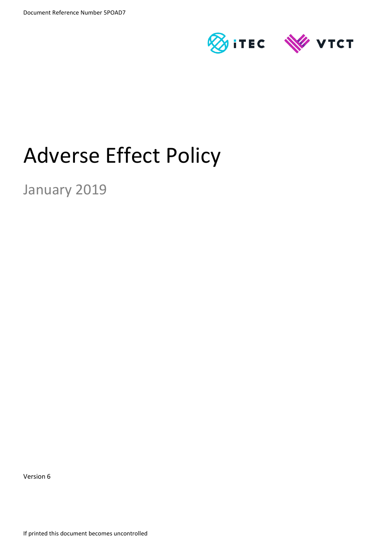

# Adverse Effect Policy

January 2019

Version 6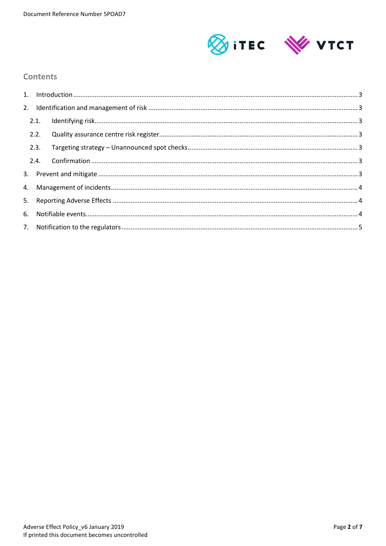

#### **Contents**

| 2.1. |  |  |  |  |
|------|--|--|--|--|
| 2.2. |  |  |  |  |
| 2.3. |  |  |  |  |
|      |  |  |  |  |
|      |  |  |  |  |
|      |  |  |  |  |
|      |  |  |  |  |
|      |  |  |  |  |
|      |  |  |  |  |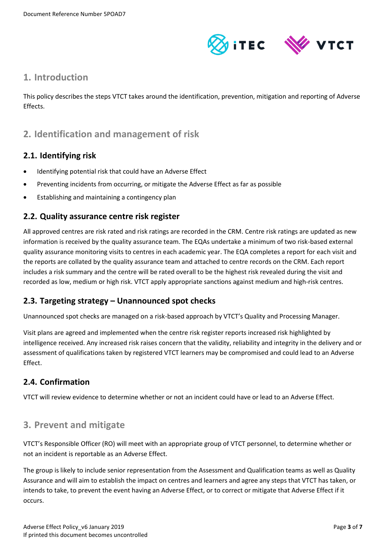

### <span id="page-2-0"></span>**1. Introduction**

This policy describes the steps VTCT takes around the identification, prevention, mitigation and reporting of Adverse Effects.

# <span id="page-2-1"></span>**2. Identification and management of risk**

#### <span id="page-2-2"></span>**2.1. Identifying risk**

- Identifying potential risk that could have an Adverse Effect
- Preventing incidents from occurring, or mitigate the Adverse Effect as far as possible
- Establishing and maintaining a contingency plan

#### <span id="page-2-3"></span>**2.2. Quality assurance centre risk register**

All approved centres are risk rated and risk ratings are recorded in the CRM. Centre risk ratings are updated as new information is received by the quality assurance team. The EQAs undertake a minimum of two risk-based external quality assurance monitoring visits to centres in each academic year. The EQA completes a report for each visit and the reports are collated by the quality assurance team and attached to centre records on the CRM. Each report includes a risk summary and the centre will be rated overall to be the highest risk revealed during the visit and recorded as low, medium or high risk. VTCT apply appropriate sanctions against medium and high-risk centres.

## <span id="page-2-4"></span>**2.3. Targeting strategy – Unannounced spot checks**

Unannounced spot checks are managed on a risk-based approach by VTCT's Quality and Processing Manager.

Visit plans are agreed and implemented when the centre risk register reports increased risk highlighted by intelligence received. Any increased risk raises concern that the validity, reliability and integrity in the delivery and or assessment of qualifications taken by registered VTCT learners may be compromised and could lead to an Adverse Effect.

#### <span id="page-2-5"></span>**2.4. Confirmation**

VTCT will review evidence to determine whether or not an incident could have or lead to an Adverse Effect.

# <span id="page-2-6"></span>**3. Prevent and mitigate**

VTCT's Responsible Officer (RO) will meet with an appropriate group of VTCT personnel, to determine whether or not an incident is reportable as an Adverse Effect.

The group is likely to include senior representation from the Assessment and Qualification teams as well as Quality Assurance and will aim to establish the impact on centres and learners and agree any steps that VTCT has taken, or intends to take, to prevent the event having an Adverse Effect, or to correct or mitigate that Adverse Effect if it occurs.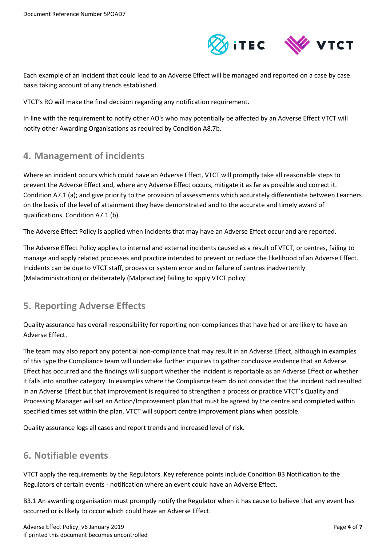

Each example of an incident that could lead to an Adverse Effect will be managed and reported on a case by case basis taking account of any trends established.

VTCT's RO will make the final decision regarding any notification requirement.

In line with the requirement to notify other AO's who may potentially be affected by an Adverse Effect VTCT will notify other Awarding Organisations as required by Condition A8.7b.

## <span id="page-3-0"></span>**4. Management of incidents**

Where an incident occurs which could have an Adverse Effect, VTCT will promptly take all reasonable steps to prevent the Adverse Effect and, where any Adverse Effect occurs, mitigate it as far as possible and correct it. Condition A7.1 (a); and give priority to the provision of assessments which accurately differentiate between Learners on the basis of the level of attainment they have demonstrated and to the accurate and timely award of qualifications. Condition A7.1 (b).

The Adverse Effect Policy is applied when incidents that may have an Adverse Effect occur and are reported.

The Adverse Effect Policy applies to internal and external incidents caused as a result of VTCT, or centres, failing to manage and apply related processes and practice intended to prevent or reduce the likelihood of an Adverse Effect. Incidents can be due to VTCT staff, process or system error and or failure of centres inadvertently (Maladministration) or deliberately (Malpractice) failing to apply VTCT policy.

# <span id="page-3-1"></span>**5. Reporting Adverse Effects**

Quality assurance has overall responsibility for reporting non-compliances that have had or are likely to have an Adverse Effect.

The team may also report any potential non-compliance that may result in an Adverse Effect, although in examples of this type the Compliance team will undertake further inquiries to gather conclusive evidence that an Adverse Effect has occurred and the findings will support whether the incident is reportable as an Adverse Effect or whether it falls into another category. In examples where the Compliance team do not consider that the incident had resulted in an Adverse Effect but that improvement is required to strengthen a process or practice VTCT's Quality and Processing Manager will set an Action/Improvement plan that must be agreed by the centre and completed within specified times set within the plan. VTCT will support centre improvement plans when possible.

Quality assurance logs all cases and report trends and increased level of risk.

# <span id="page-3-2"></span>**6. Notifiable events**

VTCT apply the requirements by the Regulators. Key reference points include Condition B3 Notification to the Regulators of certain events - notification where an event could have an Adverse Effect.

B3.1 An awarding organisation must promptly notify the Regulator when it has cause to believe that any event has occurred or is likely to occur which could have an Adverse Effect.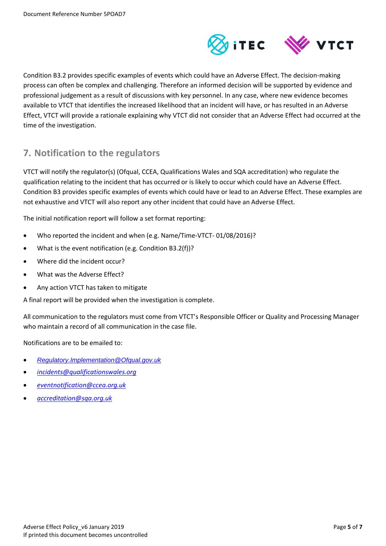

Condition B3.2 provides specific examples of events which could have an Adverse Effect. The decision-making process can often be complex and challenging. Therefore an informed decision will be supported by evidence and professional judgement as a result of discussions with key personnel. In any case, where new evidence becomes available to VTCT that identifies the increased likelihood that an incident will have, or has resulted in an Adverse Effect, VTCT will provide a rationale explaining why VTCT did not consider that an Adverse Effect had occurred at the time of the investigation.

# <span id="page-4-0"></span>**7. Notification to the regulators**

VTCT will notify the regulator(s) (Ofqual, CCEA, Qualifications Wales and SQA accreditation) who regulate the qualification relating to the incident that has occurred or is likely to occur which could have an Adverse Effect. Condition B3 provides specific examples of events which could have or lead to an Adverse Effect. These examples are not exhaustive and VTCT will also report any other incident that could have an Adverse Effect.

The initial notification report will follow a set format reporting:

- Who reported the incident and when (e.g. Name/Time-VTCT- 01/08/2016)?
- What is the event notification (e.g. Condition B3.2(f))?
- Where did the incident occur?
- What was the Adverse Effect?
- Any action VTCT has taken to mitigate

A final report will be provided when the investigation is complete.

All communication to the regulators must come from VTCT's Responsible Officer or Quality and Processing Manager who maintain a record of all communication in the case file.

Notifications are to be emailed to:

- *[Regulatory.Implementation@Ofqual.gov.uk](mailto:Regulatory.Implementation@Ofqual.gov.uk)*
- *[incidents@qualificationswales.org](mailto:incidents@qualificationswales.org)*
- *[eventnotification@ccea.org.uk](mailto:eventnotification@ccea.org.uk)*
- *[accreditation@sqa.org.uk](mailto:accreditation@sqa.org.uk)*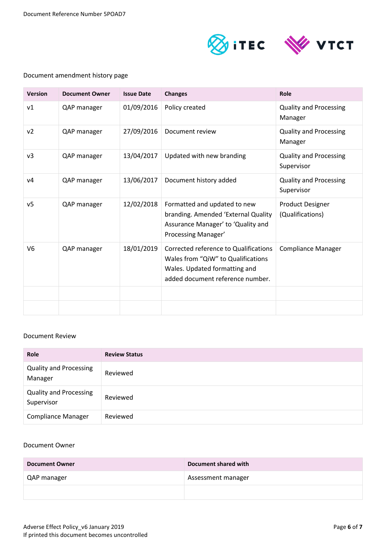

#### Document amendment history page

| <b>Version</b> | <b>Document Owner</b> | <b>Issue Date</b> | <b>Changes</b>                                                                                                                                   | Role                                        |
|----------------|-----------------------|-------------------|--------------------------------------------------------------------------------------------------------------------------------------------------|---------------------------------------------|
| v1             | QAP manager           | 01/09/2016        | Policy created                                                                                                                                   | <b>Quality and Processing</b><br>Manager    |
| ν2             | QAP manager           | 27/09/2016        | Document review                                                                                                                                  | <b>Quality and Processing</b><br>Manager    |
| v3             | QAP manager           | 13/04/2017        | Updated with new branding                                                                                                                        | <b>Quality and Processing</b><br>Supervisor |
| ν4             | QAP manager           | 13/06/2017        | Document history added                                                                                                                           | <b>Quality and Processing</b><br>Supervisor |
| v <sub>5</sub> | QAP manager           | 12/02/2018        | Formatted and updated to new<br>branding. Amended 'External Quality<br>Assurance Manager' to 'Quality and<br>Processing Manager'                 | <b>Product Designer</b><br>(Qualifications) |
| V <sub>6</sub> | QAP manager           | 18/01/2019        | Corrected reference to Qualifications<br>Wales from "QiW" to Qualifications<br>Wales. Updated formatting and<br>added document reference number. | <b>Compliance Manager</b>                   |
|                |                       |                   |                                                                                                                                                  |                                             |

#### Document Review

| <b>Role</b>                                 | <b>Review Status</b> |
|---------------------------------------------|----------------------|
| <b>Quality and Processing</b><br>Manager    | Reviewed             |
| <b>Quality and Processing</b><br>Supervisor | Reviewed             |
| <b>Compliance Manager</b>                   | Reviewed             |

#### Document Owner

| <b>Document Owner</b> | Document shared with |
|-----------------------|----------------------|
| QAP manager           | Assessment manager   |
|                       |                      |